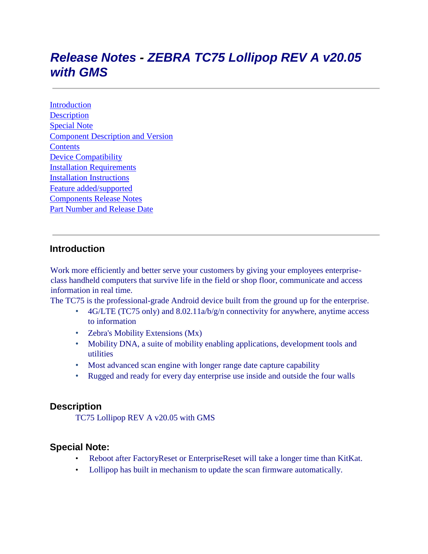# *Release Notes - ZEBRA TC75 Lollipop REV A v20.05 with GMS*

[Introduction](#page-0-0) **[Description](#page-0-1)** [Special Note](#page-0-2) [Component Description and Version](#page-1-0) **[Contents](#page-2-0)** [Device Compatibility](#page-2-1) [Installation Requirements](#page-3-0) [Installation Instructions](#page-3-1) [Feature added/supported](#page-5-0) [Components Release Notes](#page-5-1) [Part Number and Release Date](#page-12-0)

## <span id="page-0-0"></span>**Introduction**

Work more efficiently and better serve your customers by giving your employees enterpriseclass handheld computers that survive life in the field or shop floor, communicate and access information in real time.

The TC75 is the professional-grade Android device built from the ground up for the enterprise.

- 4G/LTE (TC75 only) and  $8.02.11a/b/g/n$  connectivity for anywhere, anytime access to information
- Zebra's Mobility Extensions (Mx)
- Mobility DNA, a suite of mobility enabling applications, development tools and utilities
- Most advanced scan engine with longer range date capture capability
- Rugged and ready for every day enterprise use inside and outside the four walls

### <span id="page-0-1"></span>**Description**

TC75 Lollipop REV A v20.05 with GMS

### <span id="page-0-2"></span>**Special Note:**

- Reboot after FactoryReset or EnterpriseReset will take a longer time than KitKat.
- Lollipop has built in mechanism to update the scan firmware automatically.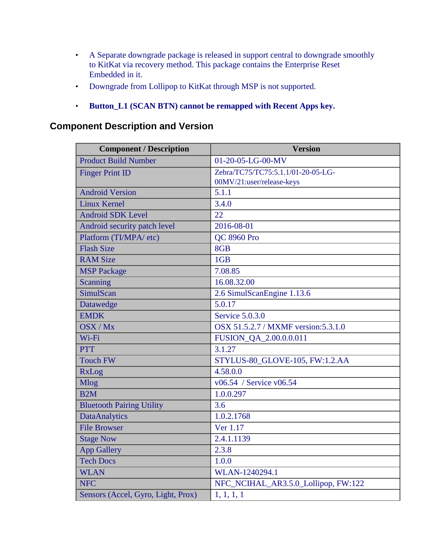- A Separate downgrade package is released in support central to downgrade smoothly to KitKat via recovery method. This package contains the Enterprise Reset Embedded in it.
- Downgrade from Lollipop to KitKat through MSP is not supported.
- **Button\_L1 (SCAN BTN) cannot be remapped with Recent Apps key.**

# <span id="page-1-0"></span>**Component Description and Version**

| <b>Component / Description</b>     | <b>Version</b>                       |
|------------------------------------|--------------------------------------|
| <b>Product Build Number</b>        | 01-20-05-LG-00-MV                    |
| <b>Finger Print ID</b>             | Zebra/TC75/TC75:5.1.1/01-20-05-LG-   |
|                                    | 00MV/21:user/release-keys            |
| <b>Android Version</b>             | 5.1.1                                |
| <b>Linux Kernel</b>                | 3.4.0                                |
| <b>Android SDK Level</b>           | 22                                   |
| Android security patch level       | 2016-08-01                           |
| Platform (TI/MPA/ etc)             | <b>QC 8960 Pro</b>                   |
| <b>Flash Size</b>                  | 8GB                                  |
| <b>RAM Size</b>                    | 1GB                                  |
| <b>MSP</b> Package                 | 7.08.85                              |
| Scanning                           | 16.08.32.00                          |
| SimulScan                          | 2.6 SimulScanEngine 1.13.6           |
| Datawedge                          | 5.0.17                               |
| <b>EMDK</b>                        | Service 5.0.3.0                      |
| OSX/Mx                             | OSX 51.5.2.7 / MXMF version: 5.3.1.0 |
| Wi-Fi                              | FUSION_QA_2.00.0.0.011               |
| <b>PTT</b>                         | 3.1.27                               |
| <b>Touch FW</b>                    | STYLUS-80_GLOVE-105, FW:1.2.AA       |
| <b>RxLog</b>                       | 4.58.0.0                             |
| <b>Mlog</b>                        | v06.54 / Service v06.54              |
| B2M                                | 1.0.0.297                            |
| <b>Bluetooth Pairing Utility</b>   | 3.6                                  |
| <b>DataAnalytics</b>               | 1.0.2.1768                           |
| <b>File Browser</b>                | Ver 1.17                             |
| <b>Stage Now</b>                   | 2.4.1.1139                           |
| <b>App Gallery</b>                 | 2.3.8                                |
| <b>Tech Docs</b>                   | 1.0.0                                |
| <b>WLAN</b>                        | WLAN-1240294.1                       |
| <b>NFC</b>                         | NFC_NCIHAL_AR3.5.0_Lollipop, FW:122  |
| Sensors (Accel, Gyro, Light, Prox) | $\overline{1}, 1, 1, 1$              |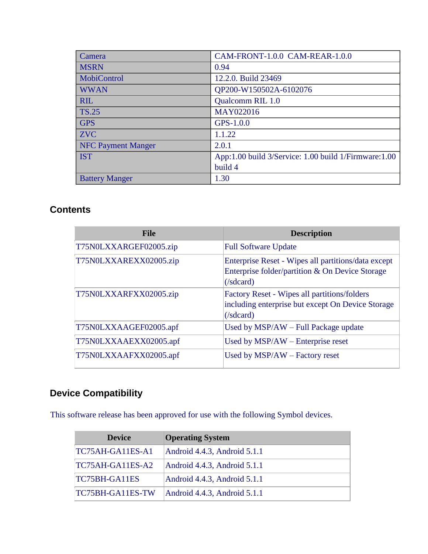| Camera                    | CAM-FRONT-1.0.0 CAM-REAR-1.0.0                       |
|---------------------------|------------------------------------------------------|
| <b>MSRN</b>               | 0.94                                                 |
| MobiControl               | 12.2.0. Build 23469                                  |
| <b>WWAN</b>               | QP200-W150502A-6102076                               |
| <b>RIL</b>                | Qualcomm RIL 1.0                                     |
| <b>TS.25</b>              | MAY022016                                            |
| <b>GPS</b>                | GPS-1.0.0                                            |
| <b>ZVC</b>                | 1,1,22                                               |
| <b>NFC Payment Manger</b> | 2.0.1                                                |
| <b>IST</b>                | App:1.00 build 3/Service: 1.00 build 1/Firmware:1.00 |
|                           | build 4                                              |
| <b>Battery Manger</b>     | 1.30                                                 |

# <span id="page-2-0"></span>**Contents**

| <b>File</b>            | <b>Description</b>                                                                                                               |
|------------------------|----------------------------------------------------------------------------------------------------------------------------------|
| T75N0LXXARGEF02005.zip | <b>Full Software Update</b>                                                                                                      |
| T75N0LXXAREXX02005.zip | Enterprise Reset - Wipes all partitions/data except<br>Enterprise folder/partition & On Device Storage<br>$\sqrt{\text{sdcard}}$ |
| T75N0LXXARFXX02005.zip | <b>Factory Reset - Wipes all partitions/folders</b><br>including enterprise but except On Device Storage<br>$(\text{/sdcard})$   |
| T75N0LXXAAGEF02005.apf | Used by MSP/AW - Full Package update                                                                                             |
| T75N0LXXAAEXX02005.apf | Used by $MSP/AW$ – Enterprise reset                                                                                              |
| T75N0LXXAAFXX02005.apf | Used by $MSP/AW - Factory$ reset                                                                                                 |

# <span id="page-2-1"></span>**Device Compatibility**

This software release has been approved for use with the following Symbol devices.

| <b>Device</b>    | <b>Operating System</b>           |
|------------------|-----------------------------------|
| TC75AH-GA11ES-A1 | Android 4.4.3, Android 5.1.1      |
| TC75AH-GA11ES-A2 | Android 4.4.3, Android 5.1.1      |
| TC75BH-GA11ES    | Android 4.4.3, Android 5.1.1      |
| TC75BH-GA11ES-TW | Android $4.4.3$ , Android $5.1.1$ |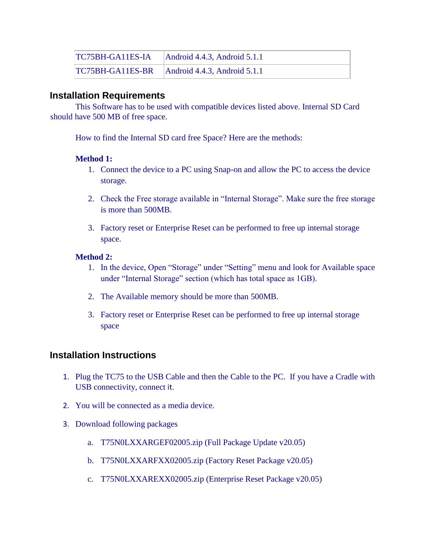| TC75BH-GA11ES-IA | $\text{Android } 4.4.3$ , Android 5.1.1 |
|------------------|-----------------------------------------|
| TC75BH-GA11ES-BR | $\Box$ Android 4.4.3, Android 5.1.1     |

### <span id="page-3-0"></span>**Installation Requirements**

This Software has to be used with compatible devices listed above. Internal SD Card should have 500 MB of free space.

How to find the Internal SD card free Space? Here are the methods:

#### **Method 1:**

- 1. Connect the device to a PC using Snap-on and allow the PC to access the device storage.
- 2. Check the Free storage available in "Internal Storage". Make sure the free storage is more than 500MB.
- 3. Factory reset or Enterprise Reset can be performed to free up internal storage space.

#### **Method 2:**

- 1. In the device, Open "Storage" under "Setting" menu and look for Available space under "Internal Storage" section (which has total space as 1GB).
- 2. The Available memory should be more than 500MB.
- 3. Factory reset or Enterprise Reset can be performed to free up internal storage space

## <span id="page-3-1"></span>**Installation Instructions**

- 1. Plug the TC75 to the USB Cable and then the Cable to the PC. If you have a Cradle with USB connectivity, connect it.
- 2. You will be connected as a media device.
- 3. Download following packages
	- a. T75N0LXXARGEF02005.zip (Full Package Update v20.05)
	- b. T75N0LXXARFXX02005.zip (Factory Reset Package v20.05)
	- c. T75N0LXXAREXX02005.zip (Enterprise Reset Package v20.05)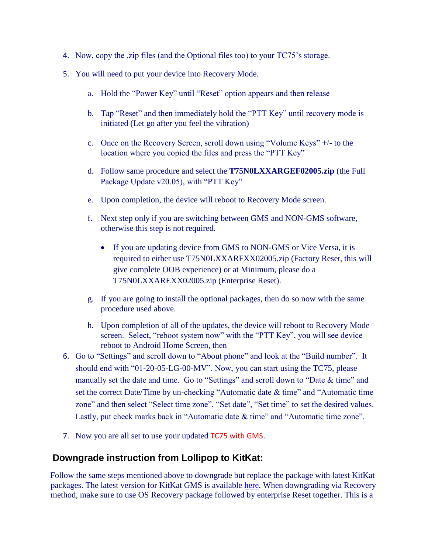- 4. Now, copy the .zip files (and the Optional files too) to your TC75's storage.
- 5. You will need to put your device into Recovery Mode.
	- a. Hold the "Power Key" until "Reset" option appears and then release
	- b. Tap "Reset" and then immediately hold the "PTT Key" until recovery mode is initiated (Let go after you feel the vibration)
	- c. Once on the Recovery Screen, scroll down using "Volume Keys" +/- to the location where you copied the files and press the "PTT Key"
	- d. Follow same procedure and select the **T75N0LXXARGEF02005.zip** (the Full Package Update v20.05), with "PTT Key"
	- e. Upon completion, the device will reboot to Recovery Mode screen.
	- f. Next step only if you are switching between GMS and NON-GMS software, otherwise this step is not required.
		- If you are updating device from GMS to NON-GMS or Vice Versa, it is required to either use T75N0LXXARFXX02005.zip (Factory Reset, this will give complete OOB experience) or at Minimum, please do a T75N0LXXAREXX02005.zip (Enterprise Reset).
	- g. If you are going to install the optional packages, then do so now with the same procedure used above.
	- h. Upon completion of all of the updates, the device will reboot to Recovery Mode screen. Select, "reboot system now" with the "PTT Key", you will see device reboot to Android Home Screen, then
- 6. Go to "Settings" and scroll down to "About phone" and look at the "Build number". It should end with "01-20-05-LG-00-MV". Now, you can start using the TC75, please manually set the date and time. Go to "Settings" and scroll down to "Date & time" and set the correct Date/Time by un-checking "Automatic date & time" and "Automatic time zone" and then select "Select time zone", "Set date", "Set time" to set the desired values. Lastly, put check marks back in "Automatic date  $\&$  time" and "Automatic time zone".
- 7. Now you are all set to use your updated TC75 with GMS.

### **Downgrade instruction from Lollipop to KitKat:**

Follow the same steps mentioned above to downgrade but replace the package with latest KitKat packages. The latest version for KitKat GMS is available [here.](https://portal.motorolasolutions.com/Support/US-EN/Resolution?solutionId=100511&redirectForm=search&searchQuery=%3FsearchType%3Dsimple%26searchTerm%3DTC75) When downgrading via Recovery method, make sure to use OS Recovery package followed by enterprise Reset together. This is a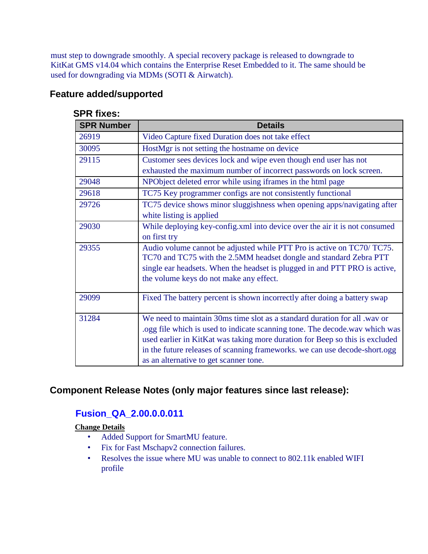must step to downgrade smoothly. A special recovery package is released to downgrade to KitKat GMS v14.04 which contains the Enterprise Reset Embedded to it. The same should be used for downgrading via MDMs (SOTI & Airwatch).

## <span id="page-5-0"></span>**Feature added/supported**

| JEN IIACS.        |                                                                                                                                                                                                                                                                                                                                                                  |
|-------------------|------------------------------------------------------------------------------------------------------------------------------------------------------------------------------------------------------------------------------------------------------------------------------------------------------------------------------------------------------------------|
| <b>SPR Number</b> | <b>Details</b>                                                                                                                                                                                                                                                                                                                                                   |
| 26919             | Video Capture fixed Duration does not take effect                                                                                                                                                                                                                                                                                                                |
| 30095             | HostMgr is not setting the hostname on device                                                                                                                                                                                                                                                                                                                    |
| 29115             | Customer sees devices lock and wipe even though end user has not<br>exhausted the maximum number of incorrect passwords on lock screen.                                                                                                                                                                                                                          |
| 29048             | NPObject deleted error while using iframes in the html page                                                                                                                                                                                                                                                                                                      |
| 29618             | TC75 Key programmer configs are not consistently functional                                                                                                                                                                                                                                                                                                      |
| 29726             | TC75 device shows minor sluggishness when opening apps/navigating after<br>white listing is applied                                                                                                                                                                                                                                                              |
| 29030             | While deploying key-config.xml into device over the air it is not consumed<br>on first try                                                                                                                                                                                                                                                                       |
| 29355             | Audio volume cannot be adjusted while PTT Pro is active on TC70/ TC75.<br>TC70 and TC75 with the 2.5MM headset dongle and standard Zebra PTT<br>single ear headsets. When the headset is plugged in and PTT PRO is active,<br>the volume keys do not make any effect.                                                                                            |
| 29099             | Fixed The battery percent is shown incorrectly after doing a battery swap                                                                                                                                                                                                                                                                                        |
| 31284             | We need to maintain 30ms time slot as a standard duration for all .wav or<br>logg file which is used to indicate scanning tone. The decode wav which was<br>used earlier in KitKat was taking more duration for Beep so this is excluded<br>in the future releases of scanning frameworks. we can use decode-short.ogg<br>as an alternative to get scanner tone. |

#### **SPR fixes:**

## <span id="page-5-1"></span>**Component Release Notes (only major features since last release):**

## **Fusion\_QA\_2.00.0.0.011**

**Change Details**

- Added Support for SmartMU feature.
- Fix for Fast Mschapv2 connection failures.
- Resolves the issue where MU was unable to connect to 802.11k enabled WIFI profile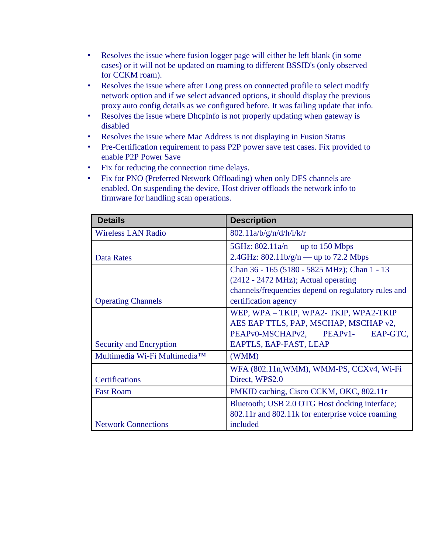- Resolves the issue where fusion logger page will either be left blank (in some cases) or it will not be updated on roaming to different BSSID's (only observed for CCKM roam).
- Resolves the issue where after Long press on connected profile to select modify network option and if we select advanced options, it should display the previous proxy auto config details as we configured before. It was failing update that info.
- Resolves the issue where DhcpInfo is not properly updating when gateway is disabled
- Resolves the issue where Mac Address is not displaying in Fusion Status
- Pre-Certification requirement to pass P2P power save test cases. Fix provided to enable P2P Power Save
- Fix for reducing the connection time delays.
- Fix for PNO (Preferred Network Offloading) when only DFS channels are enabled. On suspending the device, Host driver offloads the network info to firmware for handling scan operations.

| <b>Details</b>               | <b>Description</b>                                  |
|------------------------------|-----------------------------------------------------|
| <b>Wireless LAN Radio</b>    | 802.11a/b/g/n/d/h/i/k/r                             |
|                              | 5GHz: $802.11a/n$ — up to 150 Mbps                  |
| <b>Data Rates</b>            | 2.4GHz: $802.11b/g/n$ — up to 72.2 Mbps             |
|                              | Chan 36 - 165 (5180 - 5825 MHz); Chan 1 - 13        |
|                              | $(2412 - 2472 \text{ MHz})$ ; Actual operating      |
|                              | channels/frequencies depend on regulatory rules and |
| <b>Operating Channels</b>    | certification agency                                |
|                              | WEP, WPA - TKIP, WPA2- TKIP, WPA2-TKIP              |
|                              | AES EAP TTLS, PAP, MSCHAP, MSCHAP v2,               |
|                              | PEAPv0-MSCHAPv2, PEAPv1-<br>EAP-GTC,                |
| Security and Encryption      | EAPTLS, EAP-FAST, LEAP                              |
| Multimedia Wi-Fi Multimedia™ | (WMM)                                               |
|                              | WFA (802.11n, WMM), WMM-PS, CCXv4, Wi-Fi            |
| <b>Certifications</b>        | Direct, WPS2.0                                      |
| <b>Fast Roam</b>             | PMKID caching, Cisco CCKM, OKC, 802.11r             |
|                              | Bluetooth; USB 2.0 OTG Host docking interface;      |
|                              | 802.11r and 802.11k for enterprise voice roaming    |
| <b>Network Connections</b>   | included                                            |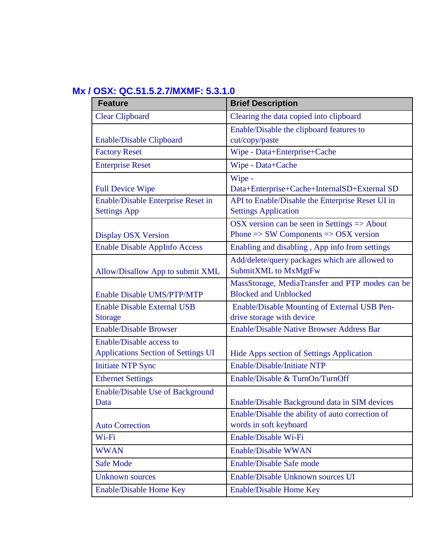# **Mx / OSX: QC.51.5.2.7/MXMF: 5.3.1.0**

| <b>Feature</b>                       | <b>Brief Description</b>                                    |
|--------------------------------------|-------------------------------------------------------------|
| <b>Clear Clipboard</b>               | Clearing the data copied into clipboard                     |
|                                      | Enable/Disable the clipboard features to                    |
| <b>Enable/Disable Clipboard</b>      | cut/copy/paste                                              |
| <b>Factory Reset</b>                 | Wipe - Data+Enterprise+Cache                                |
| <b>Enterprise Reset</b>              | Wipe - Data+Cache                                           |
|                                      | Wipe -                                                      |
| <b>Full Device Wipe</b>              | Data+Enterprise+Cache+InternalSD+External SD                |
| Enable/Disable Enterprise Reset in   | API to Enable/Disable the Enterprise Reset UI in            |
| <b>Settings App</b>                  | <b>Settings Application</b>                                 |
|                                      | OSX version can be seen in Settings $\Rightarrow$ About     |
| <b>Display OSX Version</b>           | Phone $\Rightarrow$ SW Components $\Rightarrow$ OSX version |
| <b>Enable Disable AppInfo Access</b> | Enabling and disabling, App info from settings              |
|                                      | Add/delete/query packages which are allowed to              |
| Allow/Disallow App to submit XML     | SubmitXML to MxMgtFw                                        |
|                                      | MassStorage, MediaTransfer and PTP modes can be             |
| <b>Enable Disable UMS/PTP/MTP</b>    | <b>Blocked and Unblocked</b>                                |
| <b>Enable Disable External USB</b>   | Enable/Disable Mounting of External USB Pen-                |
| <b>Storage</b>                       | drive storage with device                                   |
| <b>Enable/Disable Browser</b>        | <b>Enable/Disable Native Browser Address Bar</b>            |
| Enable/Disable access to             |                                                             |
| Applications Section of Settings UI  | Hide Apps section of Settings Application                   |
| <b>Initiate NTP Sync</b>             | Enable/Disable/Initiate NTP                                 |
| <b>Ethernet Settings</b>             | Enable/Disable & TurnOn/TurnOff                             |
| Enable/Disable Use of Background     |                                                             |
| Data                                 | Enable/Disable Background data in SIM devices               |
|                                      | Enable/Disable the ability of auto correction of            |
| <b>Auto Correction</b>               | words in soft keyboard                                      |
| Wi-Fi                                | Enable/Disable Wi-Fi                                        |
| <b>WWAN</b>                          | Enable/Disable WWAN                                         |
| Safe Mode                            | Enable/Disable Safe mode                                    |
| <b>Unknown</b> sources               | Enable/Disable Unknown sources UI                           |
| Enable/Disable Home Key              | Enable/Disable Home Key                                     |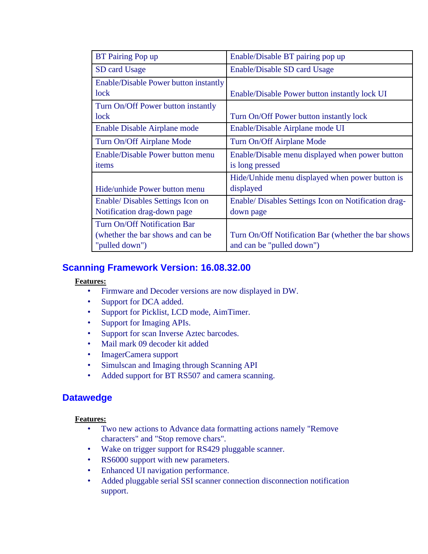| <b>BT</b> Pairing Pop up                     | Enable/Disable BT pairing pop up                     |
|----------------------------------------------|------------------------------------------------------|
| SD card Usage                                | Enable/Disable SD card Usage                         |
| <b>Enable/Disable Power button instantly</b> |                                                      |
| lock                                         | Enable/Disable Power button instantly lock UI        |
| Turn On/Off Power button instantly           |                                                      |
| lock                                         | Turn On/Off Power button instantly lock              |
| Enable Disable Airplane mode                 | Enable/Disable Airplane mode UI                      |
| Turn On/Off Airplane Mode                    | Turn On/Off Airplane Mode                            |
| Enable/Disable Power button menu             | Enable/Disable menu displayed when power button      |
| items                                        | is long pressed                                      |
|                                              | Hide/Unhide menu displayed when power button is      |
| Hide/unhide Power button menu                | displayed                                            |
| Enable/ Disables Settings Icon on            | Enable/ Disables Settings Icon on Notification drag- |
| Notification drag-down page                  | down page                                            |
| Turn On/Off Notification Bar                 |                                                      |
| (whether the bar shows and can be            | Turn On/Off Notification Bar (whether the bar shows  |
| "pulled down")                               | and can be "pulled down")                            |

## **Scanning Framework Version: 16.08.32.00**

#### **Features:**

- Firmware and Decoder versions are now displayed in DW.
- Support for DCA added.
- Support for Picklist, LCD mode, AimTimer.
- Support for Imaging APIs.
- Support for scan Inverse Aztec barcodes.
- Mail mark 09 decoder kit added
- ImagerCamera support
- Simulscan and Imaging through Scanning API
- Added support for BT RS507 and camera scanning.

### **Datawedge**

#### **Features:**

- Two new actions to Advance data formatting actions namely "Remove characters" and "Stop remove chars".
- Wake on trigger support for RS429 pluggable scanner.
- RS6000 support with new parameters.
- Enhanced UI navigation performance.
- Added pluggable serial SSI scanner connection disconnection notification support.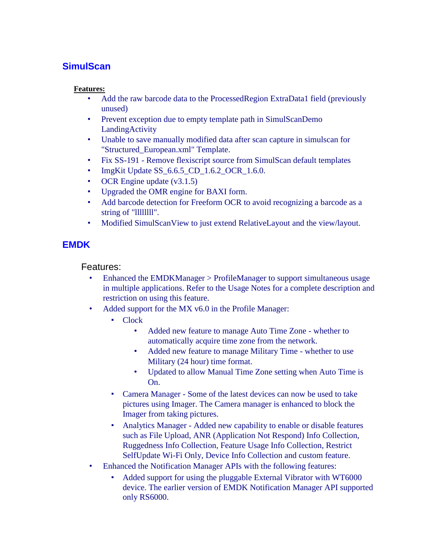# **SimulScan**

#### **Features:**

- Add the raw barcode data to the ProcessedRegion ExtraData1 field (previously unused)
- Prevent exception due to empty template path in SimulScanDemo LandingActivity
- Unable to save manually modified data after scan capture in simulscan for "Structured\_European.xml" Template.
- Fix SS-191 Remove flexiscript source from SimulScan default templates
- ImgKit Update SS\_6.6.5\_CD\_1.6.2\_OCR\_1.6.0.
- OCR Engine update (v3.1.5)
- Upgraded the OMR engine for BAXI form.
- Add barcode detection for Freeform OCR to avoid recognizing a barcode as a string of "Illllllll".
- Modified SimulScanView to just extend RelativeLayout and the view/layout.

# **EMDK**

Features:

- Enhanced the EMDKManager > ProfileManager to support simultaneous usage in multiple applications. Refer to the Usage Notes for a complete description and restriction on using this feature.
- Added support for the MX v6.0 in the Profile Manager:
	- Clock
		- Added new feature to manage Auto Time Zone whether to automatically acquire time zone from the network.
		- Added new feature to manage Military Time whether to use Military (24 hour) time format.
		- Updated to allow Manual Time Zone setting when Auto Time is On.
	- Camera Manager Some of the latest devices can now be used to take pictures using Imager. The Camera manager is enhanced to block the Imager from taking pictures.
	- Analytics Manager Added new capability to enable or disable features such as File Upload, ANR (Application Not Respond) Info Collection, Ruggedness Info Collection, Feature Usage Info Collection, Restrict SelfUpdate Wi-Fi Only, Device Info Collection and custom feature.
- Enhanced the Notification Manager APIs with the following features:
	- Added support for using the pluggable External Vibrator with WT6000 device. The earlier version of EMDK Notification Manager API supported only RS6000.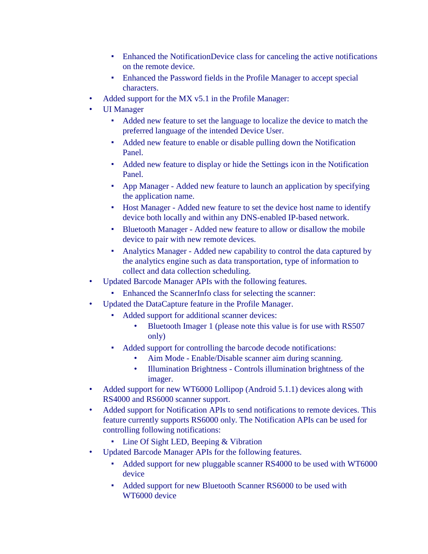- Enhanced the NotificationDevice class for canceling the active notifications on the remote device.
- Enhanced the Password fields in the Profile Manager to accept special characters.
- Added support for the MX v5.1 in the Profile Manager:
- UI Manager
	- Added new feature to set the language to localize the device to match the preferred language of the intended Device User.
	- Added new feature to enable or disable pulling down the Notification Panel.
	- Added new feature to display or hide the Settings icon in the Notification Panel.
	- App Manager Added new feature to launch an application by specifying the application name.
	- Host Manager Added new feature to set the device host name to identify device both locally and within any DNS-enabled IP-based network.
	- Bluetooth Manager Added new feature to allow or disallow the mobile device to pair with new remote devices.
	- Analytics Manager Added new capability to control the data captured by the analytics engine such as data transportation, type of information to collect and data collection scheduling.
- Updated Barcode Manager APIs with the following features.
	- Enhanced the ScannerInfo class for selecting the scanner:
- Updated the DataCapture feature in the Profile Manager.
	- Added support for additional scanner devices:
		- Bluetooth Imager 1 (please note this value is for use with RS507 only)
	- Added support for controlling the barcode decode notifications:
		- Aim Mode Enable/Disable scanner aim during scanning.
		- Illumination Brightness Controls illumination brightness of the imager.
- Added support for new WT6000 Lollipop (Android 5.1.1) devices along with RS4000 and RS6000 scanner support.
- Added support for Notification APIs to send notifications to remote devices. This feature currently supports RS6000 only. The Notification APIs can be used for controlling following notifications:
	- Line Of Sight LED, Beeping & Vibration
- Updated Barcode Manager APIs for the following features.
	- Added support for new pluggable scanner RS4000 to be used with WT6000 device
	- Added support for new Bluetooth Scanner RS6000 to be used with WT6000 device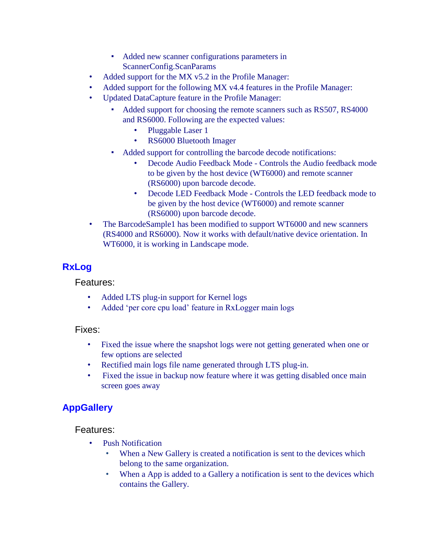- Added new scanner configurations parameters in ScannerConfig.ScanParams
- Added support for the MX v5.2 in the Profile Manager:
- Added support for the following MX v4.4 features in the Profile Manager:
- Updated DataCapture feature in the Profile Manager:
	- Added support for choosing the remote scanners such as RS507, RS4000 and RS6000. Following are the expected values:
		- Pluggable Laser 1
		- RS6000 Bluetooth Imager
	- Added support for controlling the barcode decode notifications:
		- Decode Audio Feedback Mode Controls the Audio feedback mode to be given by the host device (WT6000) and remote scanner (RS6000) upon barcode decode.
		- Decode LED Feedback Mode Controls the LED feedback mode to be given by the host device (WT6000) and remote scanner (RS6000) upon barcode decode.
- The BarcodeSample1 has been modified to support WT6000 and new scanners (RS4000 and RS6000). Now it works with default/native device orientation. In WT6000, it is working in Landscape mode.

# **RxLog**

Features:

- Added LTS plug-in support for Kernel logs
- Added 'per core cpu load' feature in RxLogger main logs

#### Fixes:

- Fixed the issue where the snapshot logs were not getting generated when one or few options are selected
- Rectified main logs file name generated through LTS plug-in.
- Fixed the issue in backup now feature where it was getting disabled once main screen goes away

## **AppGallery**

Features:

- Push Notification
	- When a New Gallery is created a notification is sent to the devices which belong to the same organization.
	- When a App is added to a Gallery a notification is sent to the devices which contains the Gallery.